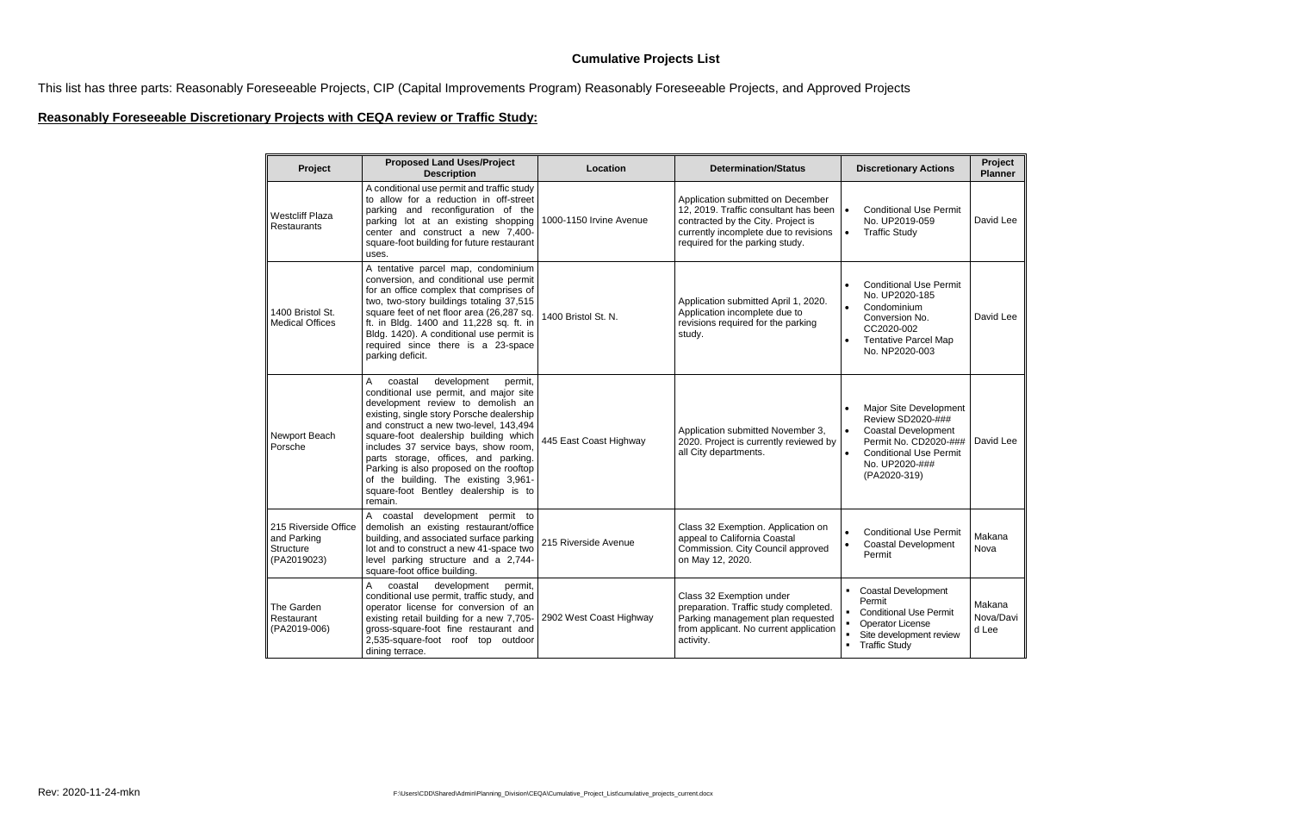## **Cumulative Projects List**

This list has three parts: Reasonably Foreseeable Projects, CIP (Capital Improvements Program) Reasonably Foreseeable Projects, and Approved Projects

## **Reasonably Foreseeable Discretionary Projects with CEQA review or Traffic Study:**

| Project                                                                | <b>Proposed Land Uses/Project</b><br><b>Description</b>                                                                                                                                                                                                                                                                                                                                                                                                                     | Location                | <b>Determination/Status</b>                                                                                                                                                                  | <b>Discretionary Actions</b>                                                                                                                                                                    | Project<br><b>Planner</b>    |
|------------------------------------------------------------------------|-----------------------------------------------------------------------------------------------------------------------------------------------------------------------------------------------------------------------------------------------------------------------------------------------------------------------------------------------------------------------------------------------------------------------------------------------------------------------------|-------------------------|----------------------------------------------------------------------------------------------------------------------------------------------------------------------------------------------|-------------------------------------------------------------------------------------------------------------------------------------------------------------------------------------------------|------------------------------|
| <b>Westcliff Plaza</b><br><b>Restaurants</b>                           | A conditional use permit and traffic study<br>to allow for a reduction in off-street<br>parking and reconfiguration of the<br>parking lot at an existing shopping<br>center and construct a new 7,400-<br>square-foot building for future restaurant<br>uses.                                                                                                                                                                                                               | 1000-1150 Irvine Avenue | Application submitted on December<br>12, 2019. Traffic consultant has been<br>contracted by the City. Project is<br>currently incomplete due to revisions<br>required for the parking study. | <b>Conditional Use Permit</b><br>$\bullet$<br>No. UP2019-059<br>$\bullet$<br><b>Traffic Study</b>                                                                                               | David Lee                    |
| 1400 Bristol St.<br><b>Medical Offices</b>                             | A tentative parcel map, condominium<br>conversion, and conditional use permit<br>for an office complex that comprises of<br>two, two-story buildings totaling 37,515<br>square feet of net floor area (26,287 sq.<br>ft. in Bldg. 1400 and 11,228 sq. ft. in<br>Bldg. 1420). A conditional use permit is<br>required since there is a 23-space<br>parking deficit.                                                                                                          | 1400 Bristol St. N.     | Application submitted April 1, 2020.<br>Application incomplete due to<br>revisions required for the parking<br>study.                                                                        | <b>Conditional Use Permit</b><br>No. UP2020-185<br>Condominium<br>$\bullet$<br>Conversion No.<br>CC2020-002<br><b>Tentative Parcel Map</b><br>No. NP2020-003                                    | David Lee                    |
| Newport Beach<br>Porsche                                               | A<br>development<br>coastal<br>permit,<br>conditional use permit, and major site<br>development review to demolish an<br>existing, single story Porsche dealership<br>and construct a new two-level, 143,494<br>square-foot dealership building which<br>includes 37 service bays, show room,<br>parts storage, offices, and parking.<br>Parking is also proposed on the rooftop<br>of the building. The existing 3,961-<br>square-foot Bentley dealership is to<br>remain. | 445 East Coast Highway  | Application submitted November 3,<br>2020. Project is currently reviewed by<br>all City departments.                                                                                         | Major Site Development<br>Review SD2020-###<br><b>Coastal Development</b><br>$\bullet$<br>Permit No. CD2020-###<br>$\bullet$<br><b>Conditional Use Permit</b><br>No. UP2020-###<br>(PA2020-319) | David Lee                    |
| 215 Riverside Office<br>and Parking<br><b>Structure</b><br>(PA2019023) | A coastal development permit to<br>demolish an existing restaurant/office<br>building, and associated surface parking<br>lot and to construct a new 41-space two<br>level parking structure and a 2,744-<br>square-foot office building.                                                                                                                                                                                                                                    | 215 Riverside Avenue    | Class 32 Exemption. Application on<br>appeal to California Coastal<br>Commission. City Council approved<br>on May 12, 2020.                                                                  | <b>Conditional Use Permit</b><br>Coastal Development<br>Permit                                                                                                                                  | Makana<br>Nova               |
| The Garden<br>Restaurant<br>(PA2019-006)                               | A<br>coastal<br>development<br>permit,<br>conditional use permit, traffic study, and<br>operator license for conversion of an<br>existing retail building for a new 7,705-<br>gross-square-foot fine restaurant and<br>2,535-square-foot roof top outdoor<br>dining terrace.                                                                                                                                                                                                | 2902 West Coast Highway | Class 32 Exemption under<br>preparation. Traffic study completed.<br>Parking management plan requested<br>from applicant. No current application<br>activity.                                | <b>Coastal Development</b><br>Permit<br><b>Conditional Use Permit</b><br>Operator License<br>Site development review<br><b>Traffic Study</b>                                                    | Makana<br>Nova/Davi<br>d Lee |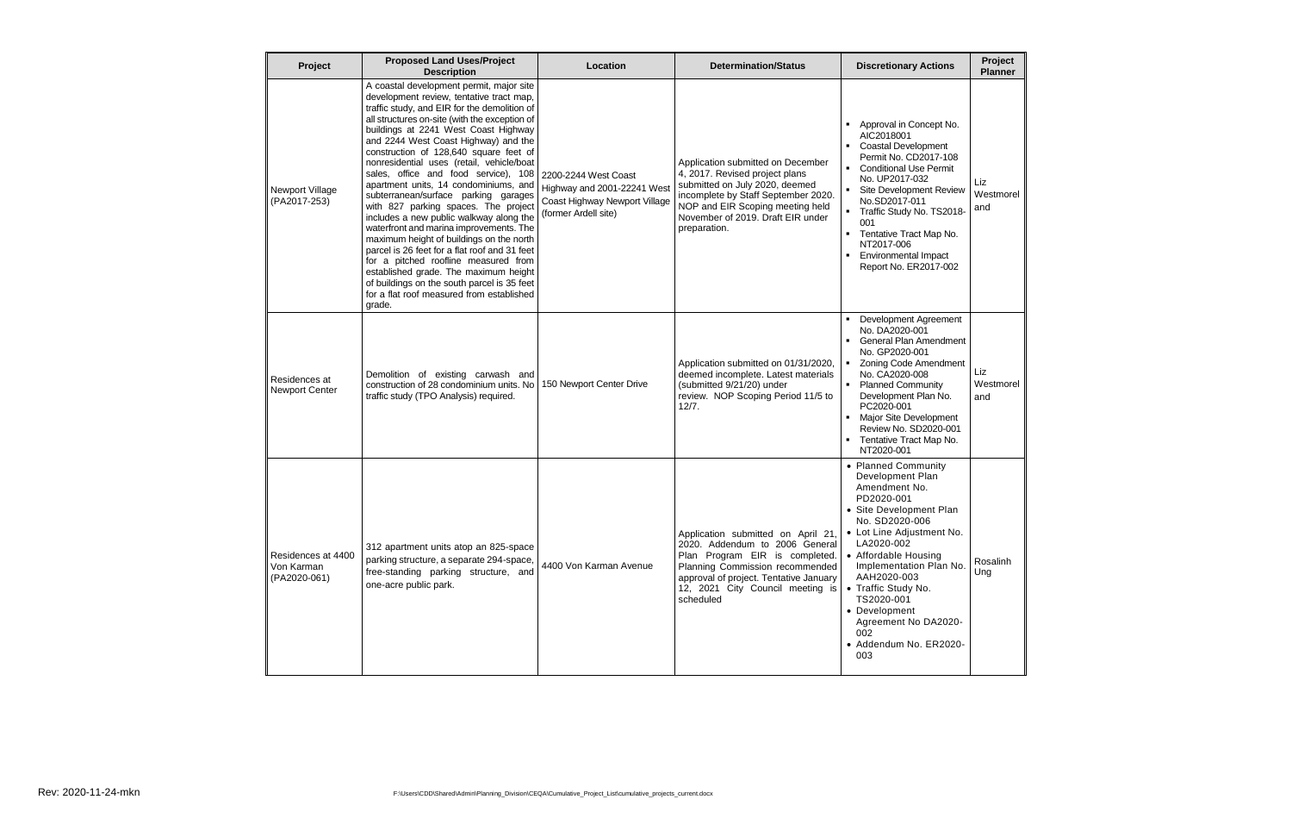| Project                                          | <b>Proposed Land Uses/Project</b><br><b>Description</b>                                                                                                                                                                                                                                                                                                                                                                                                                                                                                                                                                                                                                                                                                                                                                                                                                                                 | Location                                                                                                     | <b>Determination/Status</b>                                                                                                                                                                                                           | <b>Discretionary Actions</b>                                                                                                                                                                                                                                                                                                                           | Project<br><b>Planner</b> |
|--------------------------------------------------|---------------------------------------------------------------------------------------------------------------------------------------------------------------------------------------------------------------------------------------------------------------------------------------------------------------------------------------------------------------------------------------------------------------------------------------------------------------------------------------------------------------------------------------------------------------------------------------------------------------------------------------------------------------------------------------------------------------------------------------------------------------------------------------------------------------------------------------------------------------------------------------------------------|--------------------------------------------------------------------------------------------------------------|---------------------------------------------------------------------------------------------------------------------------------------------------------------------------------------------------------------------------------------|--------------------------------------------------------------------------------------------------------------------------------------------------------------------------------------------------------------------------------------------------------------------------------------------------------------------------------------------------------|---------------------------|
| Newport Village<br>(PA2017-253)                  | A coastal development permit, major site<br>development review, tentative tract map,<br>traffic study, and EIR for the demolition of<br>all structures on-site (with the exception of<br>buildings at 2241 West Coast Highway<br>and 2244 West Coast Highway) and the<br>construction of 128,640 square feet of<br>nonresidential uses (retail, vehicle/boat<br>sales, office and food service), 108<br>apartment units, 14 condominiums, and<br>subterranean/surface parking garages<br>with 827 parking spaces. The project<br>includes a new public walkway along the<br>waterfront and marina improvements. The<br>maximum height of buildings on the north<br>parcel is 26 feet for a flat roof and 31 feet<br>for a pitched roofline measured from<br>established grade. The maximum height<br>of buildings on the south parcel is 35 feet<br>for a flat roof measured from established<br>grade. | 2200-2244 West Coast<br>Highway and 2001-22241 West<br>Coast Highway Newport Village<br>(former Ardell site) | Application submitted on December<br>4, 2017. Revised project plans<br>submitted on July 2020, deemed<br>incomplete by Staff September 2020.<br>NOP and EIR Scoping meeting held<br>November of 2019. Draft EIR under<br>preparation. | Approval in Concept No.<br>AIC2018001<br><b>Coastal Development</b><br>Permit No. CD2017-108<br>• Conditional Use Permit<br>No. UP2017-032<br>Site Development Review<br>No.SD2017-011<br>Traffic Study No. TS2018-<br>$\blacksquare$<br>001<br>Tentative Tract Map No.<br>п.<br>NT2017-006<br><b>Environmental Impact</b><br>Report No. ER2017-002    | Liz<br>Westmorel<br>and   |
| Residences at<br><b>Newport Center</b>           | Demolition of existing carwash and<br>construction of 28 condominium units. No<br>traffic study (TPO Analysis) required.                                                                                                                                                                                                                                                                                                                                                                                                                                                                                                                                                                                                                                                                                                                                                                                | 150 Newport Center Drive                                                                                     | Application submitted on 01/31/2020,<br>deemed incomplete. Latest materials<br>(submitted 9/21/20) under<br>review. NOP Scoping Period 11/5 to<br>12/7.                                                                               | Development Agreement<br>No. DA2020-001<br><b>General Plan Amendment</b><br>No. GP2020-001<br>• Zoning Code Amendment<br>No. CA2020-008<br><b>Planned Community</b><br>$\mathbf{u}$ .<br>Development Plan No.<br>PC2020-001<br>Major Site Development<br>Review No. SD2020-001<br>Tentative Tract Map No.<br>NT2020-001                                | Liz<br>Westmorel<br>and   |
| Residences at 4400<br>Von Karman<br>(PA2020-061) | 312 apartment units atop an 825-space<br>parking structure, a separate 294-space,<br>free-standing parking structure, and<br>one-acre public park.                                                                                                                                                                                                                                                                                                                                                                                                                                                                                                                                                                                                                                                                                                                                                      | 4400 Von Karman Avenue                                                                                       | Application submitted on April 21,<br>2020. Addendum to 2006 General<br>Plan Program EIR is completed.<br>Planning Commission recommended<br>approval of project. Tentative January<br>12, 2021 City Council meeting is<br>scheduled  | • Planned Community<br>Development Plan<br>Amendment No.<br>PD2020-001<br>• Site Development Plan<br>No. SD2020-006<br>• Lot Line Adjustment No.<br>LA2020-002<br>• Affordable Housing<br>Implementation Plan No.<br>AAH2020-003<br>• Traffic Study No.<br>TS2020-001<br>• Development<br>Agreement No DA2020-<br>002<br>• Addendum No. ER2020-<br>003 | Rosalinh<br>Ung           |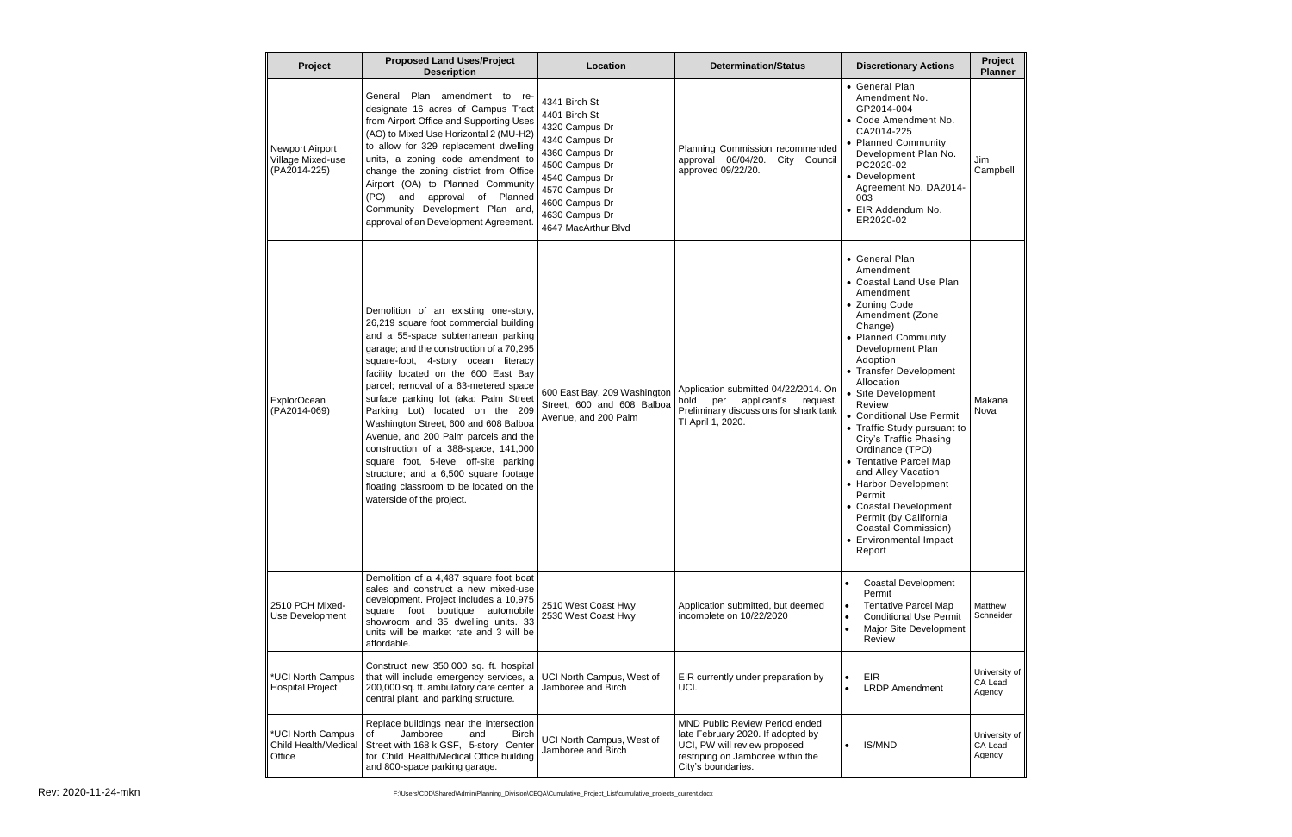| Project                                                     | <b>Proposed Land Uses/Project</b><br><b>Description</b>                                                                                                                                                                                                                                                                                                                                                                                                                                                                                                                                                                                                  | Location                                                                                                                                                                                              | <b>Determination/Status</b>                                                                                                                                           | <b>Discretionary Actions</b>                                                                                                                                                                                                                                                                                                                                                                                                                                                                                                                                    | Project<br><b>Planner</b>          |
|-------------------------------------------------------------|----------------------------------------------------------------------------------------------------------------------------------------------------------------------------------------------------------------------------------------------------------------------------------------------------------------------------------------------------------------------------------------------------------------------------------------------------------------------------------------------------------------------------------------------------------------------------------------------------------------------------------------------------------|-------------------------------------------------------------------------------------------------------------------------------------------------------------------------------------------------------|-----------------------------------------------------------------------------------------------------------------------------------------------------------------------|-----------------------------------------------------------------------------------------------------------------------------------------------------------------------------------------------------------------------------------------------------------------------------------------------------------------------------------------------------------------------------------------------------------------------------------------------------------------------------------------------------------------------------------------------------------------|------------------------------------|
| <b>Newport Airport</b><br>Village Mixed-use<br>(PA2014-225) | General Plan amendment to re-<br>designate 16 acres of Campus Tract<br>from Airport Office and Supporting Uses<br>(AO) to Mixed Use Horizontal 2 (MU-H2)<br>to allow for 329 replacement dwelling<br>units, a zoning code amendment to<br>change the zoning district from Office<br>Airport (OA) to Planned Community<br>(PC)<br>approval of Planned<br>and<br>Development Plan and<br>Community<br>approval of an Development Agreement.                                                                                                                                                                                                                | 4341 Birch St<br>4401 Birch St<br>4320 Campus Dr<br>4340 Campus Dr<br>4360 Campus Dr<br>4500 Campus Dr<br>4540 Campus Dr<br>4570 Campus Dr<br>4600 Campus Dr<br>4630 Campus Dr<br>4647 MacArthur Blvd | Planning Commission recommended<br>approval 06/04/20.<br>City Council<br>approved 09/22/20.                                                                           | • General Plan<br>Amendment No.<br>GP2014-004<br>• Code Amendment No.<br>CA2014-225<br>• Planned Community<br>Development Plan No.<br>PC2020-02<br>• Development<br>Agreement No. DA2014-<br>003<br>• EIR Addendum No.<br>ER2020-02                                                                                                                                                                                                                                                                                                                             | Jim<br>Campbell                    |
| <b>ExplorOcean</b><br>(PA2014-069)                          | Demolition of an existing one-story,<br>26,219 square foot commercial building<br>and a 55-space subterranean parking<br>garage; and the construction of a 70,295<br>square-foot, 4-story ocean literacy<br>facility located on the 600 East Bay<br>parcel; removal of a 63-metered space<br>surface parking lot (aka: Palm Street<br>Parking Lot) located on the 209<br>Washington Street, 600 and 608 Balboa<br>Avenue, and 200 Palm parcels and the<br>construction of a 388-space, 141,000<br>square foot, 5-level off-site parking<br>structure; and a 6,500 square footage<br>floating classroom to be located on the<br>waterside of the project. | 600 East Bay, 209 Washington<br>Street, 600 and 608 Balboa<br>Avenue, and 200 Palm                                                                                                                    | Application submitted 04/22/2014. On<br>hold<br>per<br>applicant's<br>request.<br>Preliminary discussions for shark tank<br>TI April 1, 2020.                         | • General Plan<br>Amendment<br>• Coastal Land Use Plan<br>Amendment<br>• Zoning Code<br>Amendment (Zone<br>Change)<br>• Planned Community<br>Development Plan<br>Adoption<br>• Transfer Development<br>Allocation<br>• Site Development<br>Review<br>• Conditional Use Permit<br>• Traffic Study pursuant to<br>City's Traffic Phasing<br>Ordinance (TPO)<br>• Tentative Parcel Map<br>and Alley Vacation<br>• Harbor Development<br>Permit<br>• Coastal Development<br>Permit (by California<br><b>Coastal Commission)</b><br>• Environmental Impact<br>Report | Makana<br>Nova                     |
| 2510 PCH Mixed-<br>Use Development                          | Demolition of a 4,487 square foot boat<br>sales and construct a new mixed-use<br>development. Project includes a 10,975<br>square foot boutique automobile<br>showroom and 35 dwelling units. 33<br>units will be market rate and 3 will be<br>affordable.                                                                                                                                                                                                                                                                                                                                                                                               | 2510 West Coast Hwy<br>2530 West Coast Hwy                                                                                                                                                            | Application submitted, but deemed<br>incomplete on 10/22/2020                                                                                                         | <b>Coastal Development</b><br>Permit<br><b>Tentative Parcel Map</b><br><b>Conditional Use Permit</b><br>Major Site Development<br>Review                                                                                                                                                                                                                                                                                                                                                                                                                        | Matthew<br>Schneider               |
| *UCI North Campus<br><b>Hospital Project</b>                | Construct new 350,000 sq. ft. hospital<br>that will include emergency services, a<br>200,000 sq. ft. ambulatory care center, a<br>central plant, and parking structure.                                                                                                                                                                                                                                                                                                                                                                                                                                                                                  | UCI North Campus, West of<br>Jamboree and Birch                                                                                                                                                       | EIR currently under preparation by<br>UCI.                                                                                                                            | <b>EIR</b><br><b>LRDP</b> Amendment                                                                                                                                                                                                                                                                                                                                                                                                                                                                                                                             | University of<br>CA Lead<br>Agency |
| *UCI North Campus<br>Child Health/Medical<br>Office         | Replace buildings near the intersection<br>Jamboree<br><b>Birch</b><br>and<br>οf<br>Street with 168 k GSF, 5-story Center<br>for Child Health/Medical Office building<br>and 800-space parking garage.                                                                                                                                                                                                                                                                                                                                                                                                                                                   | UCI North Campus, West of<br>Jamboree and Birch                                                                                                                                                       | <b>MND Public Review Period ended</b><br>late February 2020. If adopted by<br>UCI, PW will review proposed<br>restriping on Jamboree within the<br>City's boundaries. | <b>IS/MND</b>                                                                                                                                                                                                                                                                                                                                                                                                                                                                                                                                                   | University of<br>CA Lead<br>Agency |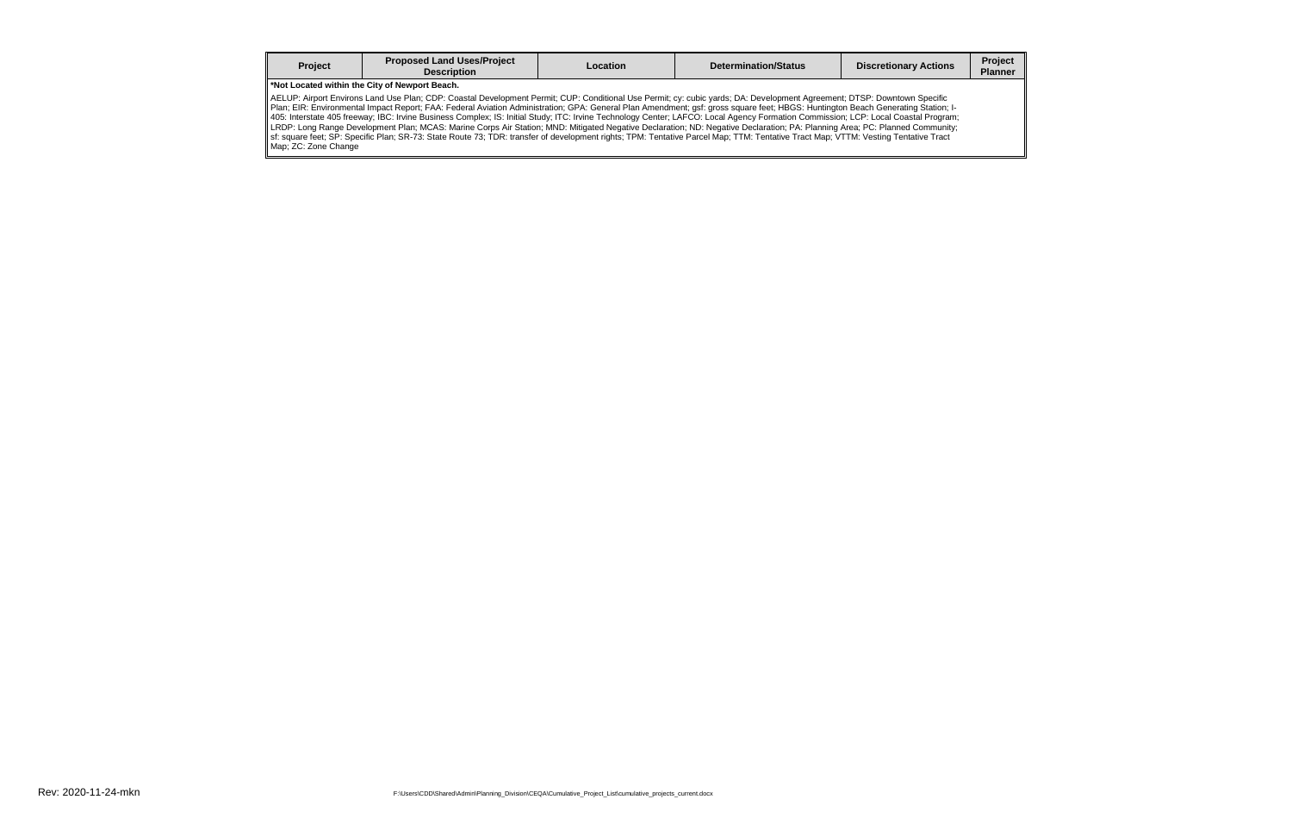| Project | <b>Proposed Land Uses/Project</b><br><b>Description</b> | Location | <b>Determination/Status</b> | <b>Discretionary Actions</b> | Project<br>Planner |  |  |  |
|---------|---------------------------------------------------------|----------|-----------------------------|------------------------------|--------------------|--|--|--|
|         | *Not Located within the City of Newport Beach           |          |                             |                              |                    |  |  |  |

**\*Not Located within the City of Newport Beach.**

AELUP: Airport Environs Land Use Plan; CDP: Coastal Development Permit; CUP: Conditional Use Permit; cy: cubic yards; DA: Development Agreement; DTSP: Downtown Specific Plan; EIR: Environmental Impact Report; FAA: Federal Aviation Administration; GPA: General Plan Amendment; gsf: gross square feet; HBGS: Huntington Beach Generating Station; I-405: Interstate 405 freeway; IBC: Irvine Business Complex; IS: Initial Study; ITC: Irvine Technology Center; LAFCO: Local Agency Formation Commission; LCP: Local Coastal Program; LRDP: Long Range Development Plan; MCAS: Marine Corps Air Station; MND: Mitigated Negative Declaration; ND: Negative Declaration; PA: Planning Area; PC: Planned Community; sf: square feet; SP: Specific Plan; SR-73: State Route 73; TDR: transfer of development rights; TPM: Tentative Parcel Map; TTM: Tentative Tract Map; VTTM: Vesting Tentative Tract Map; ZC: Zone Change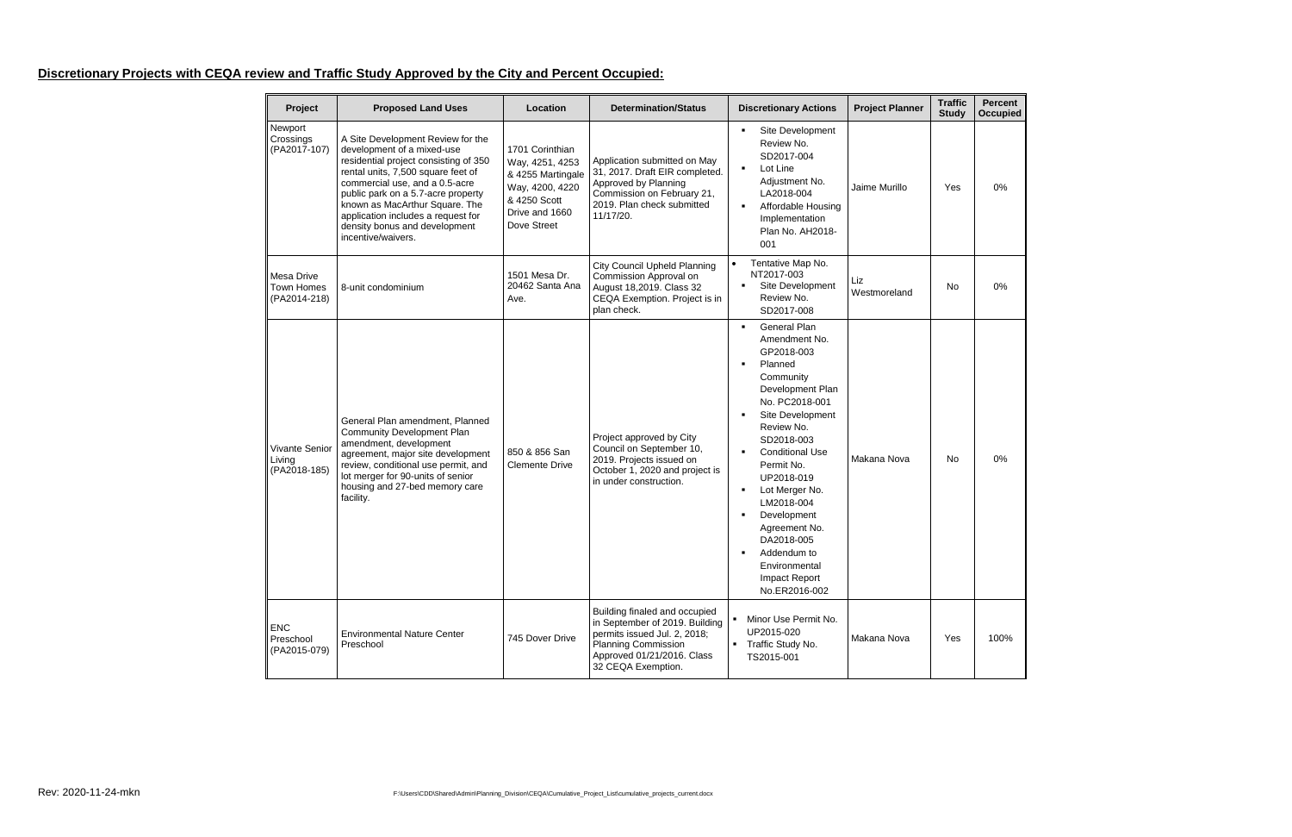## **Discretionary Projects with CEQA review and Traffic Study Approved by the City and Percent Occupied:**

| Project                                         | <b>Proposed Land Uses</b>                                                                                                                                                                                                                                                                                                                             | Location                                                                                                                    | <b>Determination/Status</b>                                                                                                                                                       | <b>Discretionary Actions</b>                                                                                                                                                                                                                                                                                                                                                             | <b>Project Planner</b> | <b>Traffic</b><br><b>Study</b> | Percent<br><b>Occupied</b> |
|-------------------------------------------------|-------------------------------------------------------------------------------------------------------------------------------------------------------------------------------------------------------------------------------------------------------------------------------------------------------------------------------------------------------|-----------------------------------------------------------------------------------------------------------------------------|-----------------------------------------------------------------------------------------------------------------------------------------------------------------------------------|------------------------------------------------------------------------------------------------------------------------------------------------------------------------------------------------------------------------------------------------------------------------------------------------------------------------------------------------------------------------------------------|------------------------|--------------------------------|----------------------------|
| Newport<br>Crossings<br>(PA2017-107)            | A Site Development Review for the<br>development of a mixed-use<br>residential project consisting of 350<br>rental units, 7,500 square feet of<br>commercial use, and a 0.5-acre<br>public park on a 5.7-acre property<br>known as MacArthur Square. The<br>application includes a request for<br>density bonus and development<br>incentive/waivers. | 1701 Corinthian<br>Way, 4251, 4253<br>& 4255 Martingale<br>Way, 4200, 4220<br>& 4250 Scott<br>Drive and 1660<br>Dove Street | Application submitted on May<br>31, 2017. Draft EIR completed.<br>Approved by Planning<br>Commission on February 21,<br>2019. Plan check submitted<br>11/17/20.                   | Site Development<br>٠<br>Review No.<br>SD2017-004<br>Lot Line<br>٠<br>Adjustment No.<br>LA2018-004<br>Affordable Housing<br>Implementation<br>Plan No. AH2018-<br>001                                                                                                                                                                                                                    | Jaime Murillo          | Yes                            | 0%                         |
| <b>Mesa Drive</b><br>Town Homes<br>(PA2014-218) | 8-unit condominium                                                                                                                                                                                                                                                                                                                                    | 1501 Mesa Dr.<br>20462 Santa Ana<br>Ave.                                                                                    | <b>City Council Upheld Planning</b><br>Commission Approval on<br>August 18,2019. Class 32<br>CEQA Exemption. Project is in<br>plan check.                                         | Tentative Map No.<br>$\bullet$<br>NT2017-003<br>Site Development<br>٠<br>Review No.<br>SD2017-008                                                                                                                                                                                                                                                                                        | Liz<br>Westmoreland    | No                             | 0%                         |
| Vivante Senior<br>Living<br>(PA2018-185)        | General Plan amendment, Planned<br><b>Community Development Plan</b><br>amendment, development<br>agreement, major site development<br>review, conditional use permit, and<br>lot merger for 90-units of senior<br>housing and 27-bed memory care<br>facility.                                                                                        | 850 & 856 San<br><b>Clemente Drive</b>                                                                                      | Project approved by City<br>Council on September 10,<br>2019. Projects issued on<br>October 1, 2020 and project is<br>in under construction.                                      | <b>General Plan</b><br>$\blacksquare$<br>Amendment No.<br>GP2018-003<br>Planned<br>Community<br>Development Plan<br>No. PC2018-001<br>Site Development<br>Review No.<br>SD2018-003<br><b>Conditional Use</b><br>Permit No.<br>UP2018-019<br>Lot Merger No.<br>LM2018-004<br>Development<br>Agreement No.<br>DA2018-005<br>Addendum to<br>Environmental<br>Impact Report<br>No.ER2016-002 | Makana Nova            | No                             | $0\%$                      |
| <b>ENC</b><br>Preschool<br>(PA2015-079)         | <b>Environmental Nature Center</b><br>Preschool                                                                                                                                                                                                                                                                                                       | 745 Dover Drive                                                                                                             | Building finaled and occupied<br>in September of 2019. Building<br>permits issued Jul. 2, 2018;<br><b>Planning Commission</b><br>Approved 01/21/2016. Class<br>32 CEQA Exemption. | Minor Use Permit No.<br>UP2015-020<br>• Traffic Study No.<br>TS2015-001                                                                                                                                                                                                                                                                                                                  | Makana Nova            | Yes                            | 100%                       |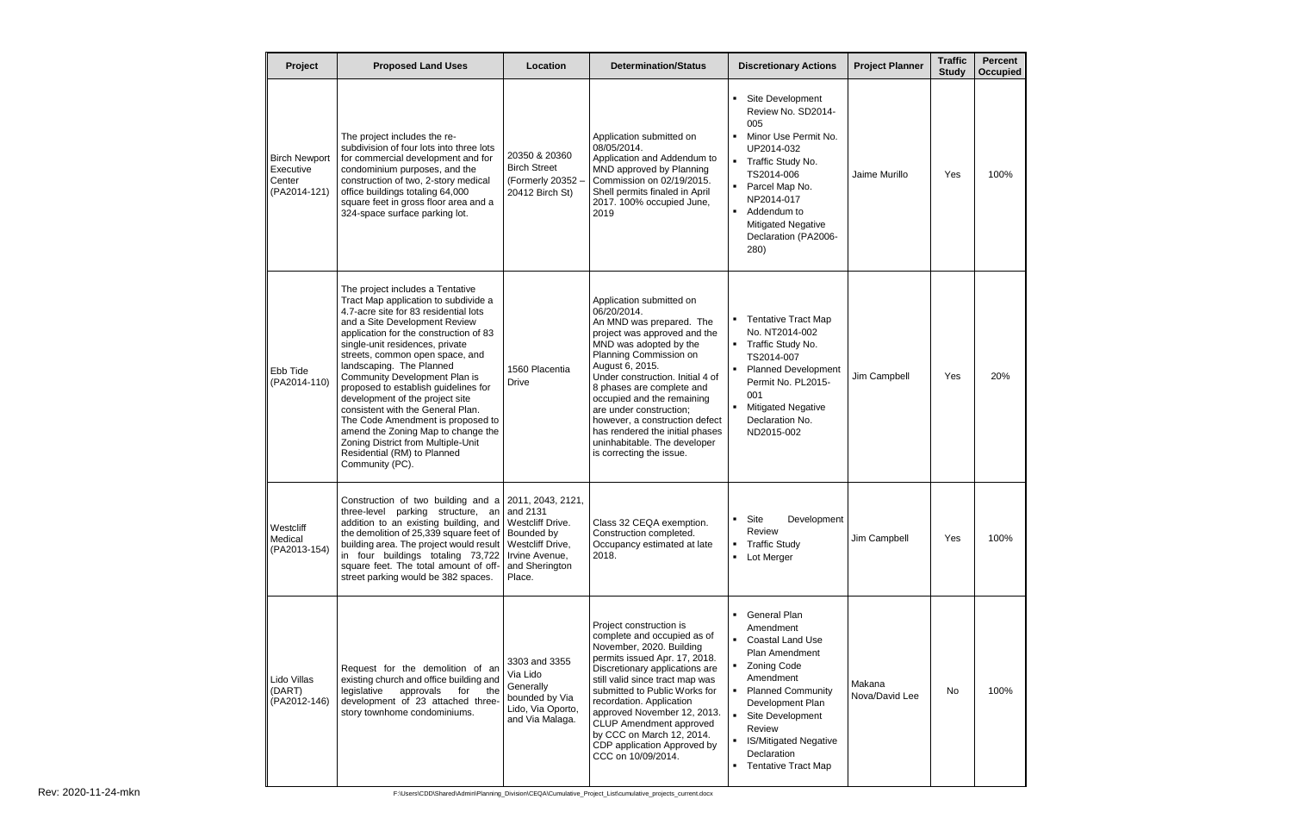| Project                                                     | <b>Proposed Land Uses</b>                                                                                                                                                                                                                                                                                                                                                                                                                                                                                                                                                                                          | Location                                                                                         | <b>Determination/Status</b>                                                                                                                                                                                                                                                                                                                                                                                                           | <b>Discretionary Actions</b>                                                                                                                                                                                                                                           | <b>Project Planner</b>   | <b>Traffic</b><br><b>Study</b> | Percent<br><b>Occupied</b> |
|-------------------------------------------------------------|--------------------------------------------------------------------------------------------------------------------------------------------------------------------------------------------------------------------------------------------------------------------------------------------------------------------------------------------------------------------------------------------------------------------------------------------------------------------------------------------------------------------------------------------------------------------------------------------------------------------|--------------------------------------------------------------------------------------------------|---------------------------------------------------------------------------------------------------------------------------------------------------------------------------------------------------------------------------------------------------------------------------------------------------------------------------------------------------------------------------------------------------------------------------------------|------------------------------------------------------------------------------------------------------------------------------------------------------------------------------------------------------------------------------------------------------------------------|--------------------------|--------------------------------|----------------------------|
| <b>Birch Newport</b><br>Executive<br>Center<br>(PA2014-121) | The project includes the re-<br>subdivision of four lots into three lots<br>for commercial development and for<br>condominium purposes, and the<br>construction of two, 2-story medical<br>office buildings totaling 64,000<br>square feet in gross floor area and a<br>324-space surface parking lot.                                                                                                                                                                                                                                                                                                             | 20350 & 20360<br><b>Birch Street</b><br>(Formerly 20352 -<br>20412 Birch St)                     | Application submitted on<br>08/05/2014.<br>Application and Addendum to<br>MND approved by Planning<br>Commission on 02/19/2015.<br>Shell permits finaled in April<br>2017. 100% occupied June,<br>2019                                                                                                                                                                                                                                | Site Development<br>Review No. SD2014-<br>005<br>Minor Use Permit No.<br>UP2014-032<br>• Traffic Study No.<br>TS2014-006<br>Parcel Map No.<br>NP2014-017<br>Addendum to<br><b>Mitigated Negative</b><br>Declaration (PA2006-<br>280)                                   | Jaime Murillo            | Yes                            | 100%                       |
| Ebb Tide<br>(PA2014-110)                                    | The project includes a Tentative<br>Tract Map application to subdivide a<br>4.7-acre site for 83 residential lots<br>and a Site Development Review<br>application for the construction of 83<br>single-unit residences, private<br>streets, common open space, and<br>landscaping. The Planned<br>Community Development Plan is<br>proposed to establish guidelines for<br>development of the project site<br>consistent with the General Plan.<br>The Code Amendment is proposed to<br>amend the Zoning Map to change the<br>Zoning District from Multiple-Unit<br>Residential (RM) to Planned<br>Community (PC). | 1560 Placentia<br><b>Drive</b>                                                                   | Application submitted on<br>06/20/2014.<br>An MND was prepared. The<br>project was approved and the<br>MND was adopted by the<br>Planning Commission on<br>August 6, 2015.<br>Under construction. Initial 4 of<br>8 phases are complete and<br>occupied and the remaining<br>are under construction;<br>however, a construction defect<br>has rendered the initial phases<br>uninhabitable. The developer<br>is correcting the issue. | • Tentative Tract Map<br>No. NT2014-002<br>• Traffic Study No.<br>TS2014-007<br><b>Planned Development</b><br>Permit No. PL2015-<br>001<br><b>Mitigated Negative</b><br>Declaration No.<br>ND2015-002                                                                  | Jim Campbell             | Yes                            | 20%                        |
| Westcliff<br>Medical<br>(PA2013-154)                        | Construction of two building and $a$ 2011, 2043, 2121,<br>three-level parking structure, an and 2131<br>addition to an existing building, and   Westcliff Drive.<br>the demolition of 25,339 square feet of   Bounded by<br>building area. The project would result<br>in four buildings totaling 73,722<br>square feet. The total amount of off-<br>street parking would be 382 spaces.                                                                                                                                                                                                                           | Westcliff Drive,<br>Irvine Avenue,<br>and Sherington<br>Place.                                   | Class 32 CEQA exemption.<br>Construction completed.<br>Occupancy estimated at late<br>2018.                                                                                                                                                                                                                                                                                                                                           | Site<br>Development<br>Review<br><b>Traffic Study</b><br>Lot Merger                                                                                                                                                                                                    | Jim Campbell             | Yes                            | 100%                       |
| Lido Villas<br>(DART)<br>(PA2012-146)                       | Request for the demolition of an<br>existing church and office building and<br>legislative<br>approvals<br>for<br>the<br>development of 23 attached three-<br>story townhome condominiums.                                                                                                                                                                                                                                                                                                                                                                                                                         | 3303 and 3355<br>Via Lido<br>Generally<br>bounded by Via<br>Lido, Via Oporto,<br>and Via Malaga. | Project construction is<br>complete and occupied as of<br>November, 2020. Building<br>permits issued Apr. 17, 2018.<br>Discretionary applications are<br>still valid since tract map was<br>submitted to Public Works for<br>recordation. Application<br>approved November 12, 2013.<br>CLUP Amendment approved<br>by CCC on March 12, 2014.<br>CDP application Approved by<br>CCC on 10/09/2014.                                     | <b>General Plan</b><br>Amendment<br><b>Coastal Land Use</b><br>Plan Amendment<br>• Zoning Code<br>Amendment<br><b>Planned Community</b><br>Development Plan<br>Site Development<br>Review<br><b>IS/Mitigated Negative</b><br>Declaration<br><b>Tentative Tract Map</b> | Makana<br>Nova/David Lee | No                             | 100%                       |

Rev: 2020-11-24-mkn F:\Users\CDD\Shared\Admin\Planning\_Division\CEQA\Cumulative\_Project\_List\cumulative\_projects\_current.docx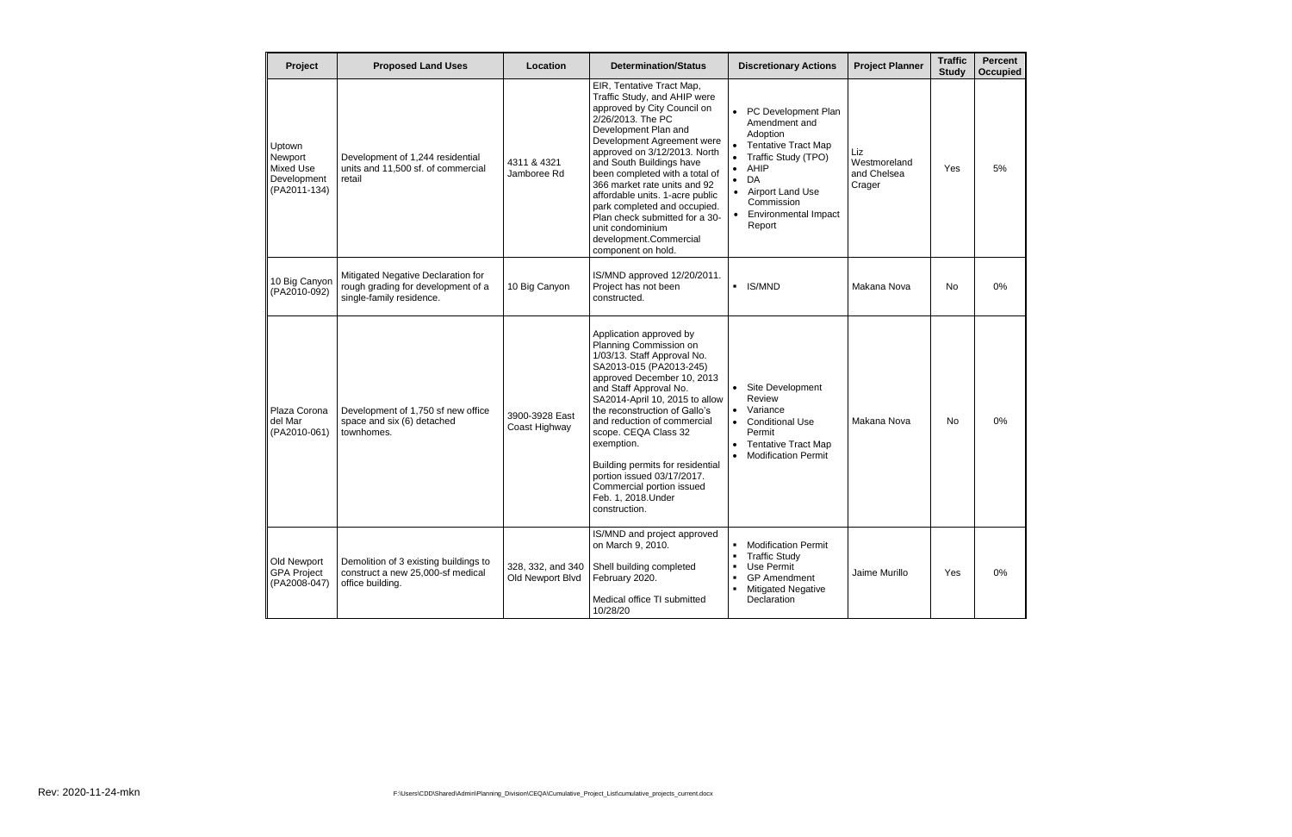| Project                                                              | <b>Proposed Land Uses</b>                                                                            | Location                              | <b>Determination/Status</b>                                                                                                                                                                                                                                                                                                                                                                                                                                                | <b>Discretionary Actions</b>                                                                                                                                                                                                                                      | <b>Project Planner</b>                       | <b>Traffic</b><br><b>Study</b> | <b>Percent</b><br><b>Occupied</b> |
|----------------------------------------------------------------------|------------------------------------------------------------------------------------------------------|---------------------------------------|----------------------------------------------------------------------------------------------------------------------------------------------------------------------------------------------------------------------------------------------------------------------------------------------------------------------------------------------------------------------------------------------------------------------------------------------------------------------------|-------------------------------------------------------------------------------------------------------------------------------------------------------------------------------------------------------------------------------------------------------------------|----------------------------------------------|--------------------------------|-----------------------------------|
| Uptown<br>Newport<br><b>Mixed Use</b><br>Development<br>(PA2011-134) | Development of 1,244 residential<br>units and 11,500 sf. of commercial<br>retail                     | 4311 & 4321<br>Jamboree Rd            | EIR, Tentative Tract Map,<br>Traffic Study, and AHIP were<br>approved by City Council on<br>2/26/2013. The PC<br>Development Plan and<br>Development Agreement were<br>approved on 3/12/2013. North<br>and South Buildings have<br>been completed with a total of<br>366 market rate units and 92<br>affordable units. 1-acre public<br>park completed and occupied.<br>Plan check submitted for a 30-<br>unit condominium<br>development.Commercial<br>component on hold. | PC Development Plan<br>$\bullet$<br>Amendment and<br>Adoption<br><b>Tentative Tract Map</b><br>Traffic Study (TPO)<br>$\bullet$<br>AHIP<br>$\bullet$<br>DA<br>$\bullet$<br>• Airport Land Use<br>Commission<br><b>Environmental Impact</b><br>$\bullet$<br>Report | Liz<br>Westmoreland<br>and Chelsea<br>Crager | Yes                            | 5%                                |
| 10 Big Canyon<br>(PA2010-092)                                        | Mitigated Negative Declaration for<br>rough grading for development of a<br>single-family residence. | 10 Big Canyon                         | IS/MND approved 12/20/2011.<br>Project has not been<br>constructed.                                                                                                                                                                                                                                                                                                                                                                                                        | <b>IS/MND</b><br>$\blacksquare$                                                                                                                                                                                                                                   | Makana Nova                                  | <b>No</b>                      | 0%                                |
| Plaza Corona<br>del Mar<br>(PA2010-061)                              | Development of 1,750 sf new office<br>space and six (6) detached<br>townhomes.                       | 3900-3928 East<br>Coast Highway       | Application approved by<br>Planning Commission on<br>1/03/13. Staff Approval No.<br>SA2013-015 (PA2013-245)<br>approved December 10, 2013<br>and Staff Approval No.<br>SA2014-April 10, 2015 to allow<br>the reconstruction of Gallo's<br>and reduction of commercial<br>scope. CEQA Class 32<br>exemption.<br>Building permits for residential<br>portion issued 03/17/2017.<br>Commercial portion issued<br>Feb. 1, 2018. Under<br>construction.                         | • Site Development<br>Review<br>Variance<br>$\bullet$<br><b>Conditional Use</b><br>$\bullet$<br>Permit<br><b>Tentative Tract Map</b><br><b>Modification Permit</b>                                                                                                | Makana Nova                                  | No                             | 0%                                |
| Old Newport<br><b>GPA Project</b><br>(PA2008-047)                    | Demolition of 3 existing buildings to<br>construct a new 25,000-sf medical<br>office building.       | 328, 332, and 340<br>Old Newport Blvd | IS/MND and project approved<br>on March 9, 2010.<br>Shell building completed<br>February 2020.<br>Medical office TI submitted<br>10/28/20                                                                                                                                                                                                                                                                                                                                  | <b>Modification Permit</b><br><b>Traffic Study</b><br>Use Permit<br><b>GP</b> Amendment<br><b>Mitigated Negative</b><br>٠<br>Declaration                                                                                                                          | Jaime Murillo                                | Yes                            | 0%                                |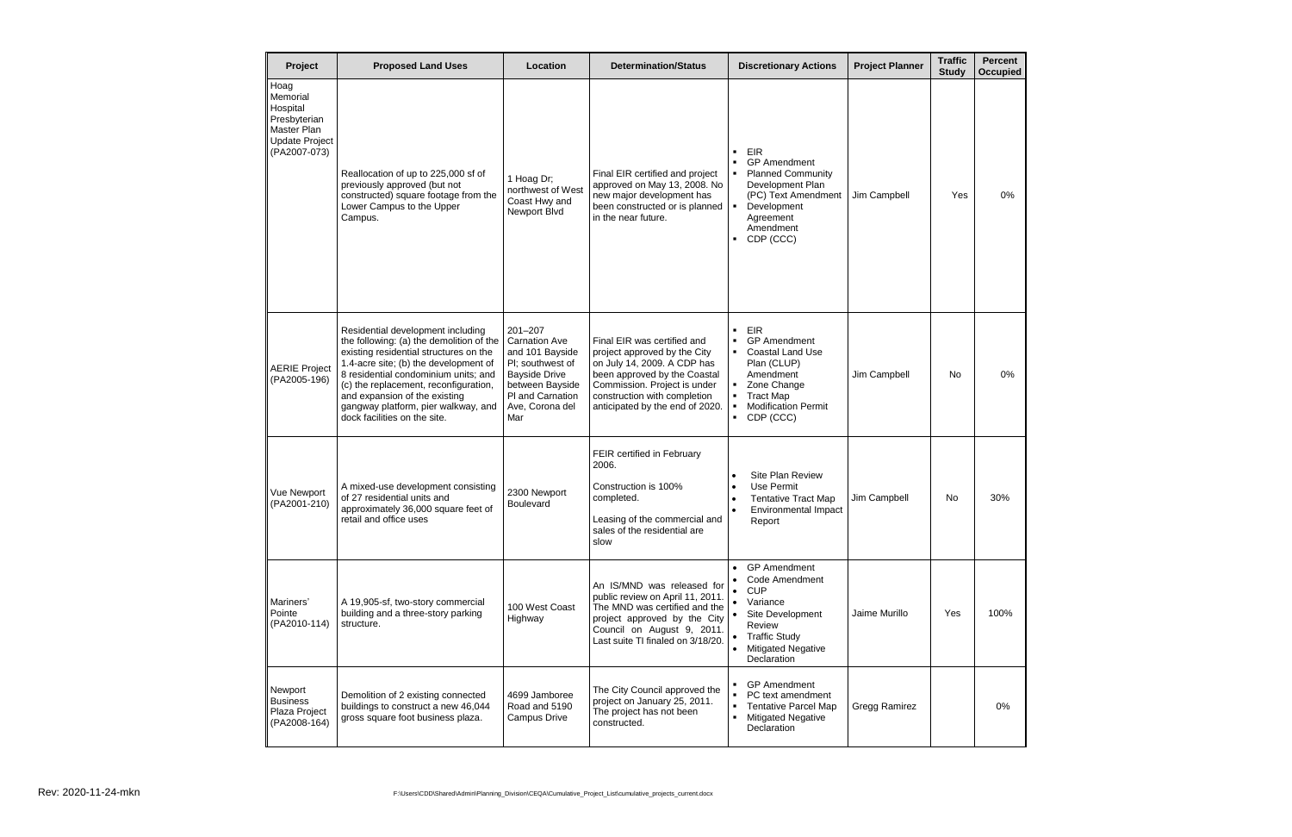| <b>Traffic</b><br><b>Study</b> | <b>Percent</b><br>Occupied |
|--------------------------------|----------------------------|
| Yes                            | 0%                         |
| No                             | 0%                         |
| No                             | 30%                        |
| Yes                            | 100%                       |
|                                | 0%                         |

| Project                                                                                              | <b>Proposed Land Uses</b>                                                                                                                                                                                                                                                                                                                                 | Location                                                                                                                                                            | <b>Determination/Status</b>                                                                                                                                                                                                   | <b>Discretionary Actions</b>                                                                                                                                      | <b>Project Planner</b> | <b>Traffic</b><br><b>Study</b> | Percen<br>Occupie |
|------------------------------------------------------------------------------------------------------|-----------------------------------------------------------------------------------------------------------------------------------------------------------------------------------------------------------------------------------------------------------------------------------------------------------------------------------------------------------|---------------------------------------------------------------------------------------------------------------------------------------------------------------------|-------------------------------------------------------------------------------------------------------------------------------------------------------------------------------------------------------------------------------|-------------------------------------------------------------------------------------------------------------------------------------------------------------------|------------------------|--------------------------------|-------------------|
| Hoag<br>Memorial<br>Hospital<br>Presbyterian<br>Master Plan<br><b>Update Project</b><br>(PA2007-073) | Reallocation of up to 225,000 sf of<br>previously approved (but not<br>constructed) square footage from the<br>Lower Campus to the Upper<br>Campus.                                                                                                                                                                                                       | 1 Hoag Dr;<br>northwest of West<br>Coast Hwy and<br>Newport Blvd                                                                                                    | Final EIR certified and project<br>approved on May 13, 2008. No<br>new major development has<br>been constructed or is planned<br>in the near future.                                                                         | <b>EIR</b><br><b>GP</b> Amendment<br><b>Planned Community</b><br>Development Plan<br>(PC) Text Amendment<br>Development<br>Agreement<br>Amendment<br>CDP (CCC)    | Jim Campbell           | Yes                            | 0%                |
| <b>AERIE Project</b><br>(PA2005-196)                                                                 | Residential development including<br>the following: (a) the demolition of the<br>existing residential structures on the<br>1.4-acre site; (b) the development of<br>8 residential condominium units; and<br>(c) the replacement, reconfiguration,<br>and expansion of the existing<br>gangway platform, pier walkway, and<br>dock facilities on the site. | $201 - 207$<br><b>Carnation Ave</b><br>and 101 Bayside<br>PI; southwest of<br><b>Bayside Drive</b><br>between Bayside<br>PI and Carnation<br>Ave, Corona del<br>Mar | Final EIR was certified and<br>project approved by the City<br>on July 14, 2009. A CDP has<br>been approved by the Coastal<br>Commission. Project is under<br>construction with completion<br>anticipated by the end of 2020. | <b>EIR</b><br><b>GP</b> Amendment<br>• Coastal Land Use<br>Plan (CLUP)<br>Amendment<br>Zone Change<br><b>Tract Map</b><br><b>Modification Permit</b><br>CDP (CCC) | Jim Campbell           | No                             | 0%                |
| <b>Vue Newport</b><br>(PA2001-210)                                                                   | A mixed-use development consisting<br>of 27 residential units and<br>approximately 36,000 square feet of<br>retail and office uses                                                                                                                                                                                                                        | 2300 Newport<br><b>Boulevard</b>                                                                                                                                    | FEIR certified in February<br>2006.<br>Construction is 100%<br>completed.<br>Leasing of the commercial and<br>sales of the residential are<br>slow                                                                            | Site Plan Review<br>Use Permit<br><b>Tentative Tract Map</b><br><b>Environmental Impact</b><br>Report                                                             | Jim Campbell           | No.                            | 30%               |
| Mariners'<br>Pointe<br>(PA2010-114)                                                                  | A 19,905-sf, two-story commercial<br>building and a three-story parking<br>structure.                                                                                                                                                                                                                                                                     | 100 West Coast<br>Highway                                                                                                                                           | An IS/MND was released for<br>public review on April 11, 2011.<br>The MND was certified and the<br>project approved by the City<br>Council on August 9, 2011.<br>Last suite TI finaled on 3/18/20.                            | • GP Amendment<br><b>Code Amendment</b><br><b>CUP</b><br>Variance<br>Site Development<br>Review<br>• Traffic Study<br><b>Mitigated Negative</b><br>Declaration    | Jaime Murillo          | Yes                            | 100%              |
| Newport<br><b>Business</b><br>Plaza Project<br>(PA2008-164)                                          | Demolition of 2 existing connected<br>buildings to construct a new 46,044<br>gross square foot business plaza.                                                                                                                                                                                                                                            | 4699 Jamboree<br>Road and 5190<br>Campus Drive                                                                                                                      | The City Council approved the<br>project on January 25, 2011.<br>The project has not been<br>constructed.                                                                                                                     | <b>GP</b> Amendment<br>PC text amendment<br><b>Tentative Parcel Map</b><br><b>Mitigated Negative</b><br>Declaration                                               | Gregg Ramirez          |                                | 0%                |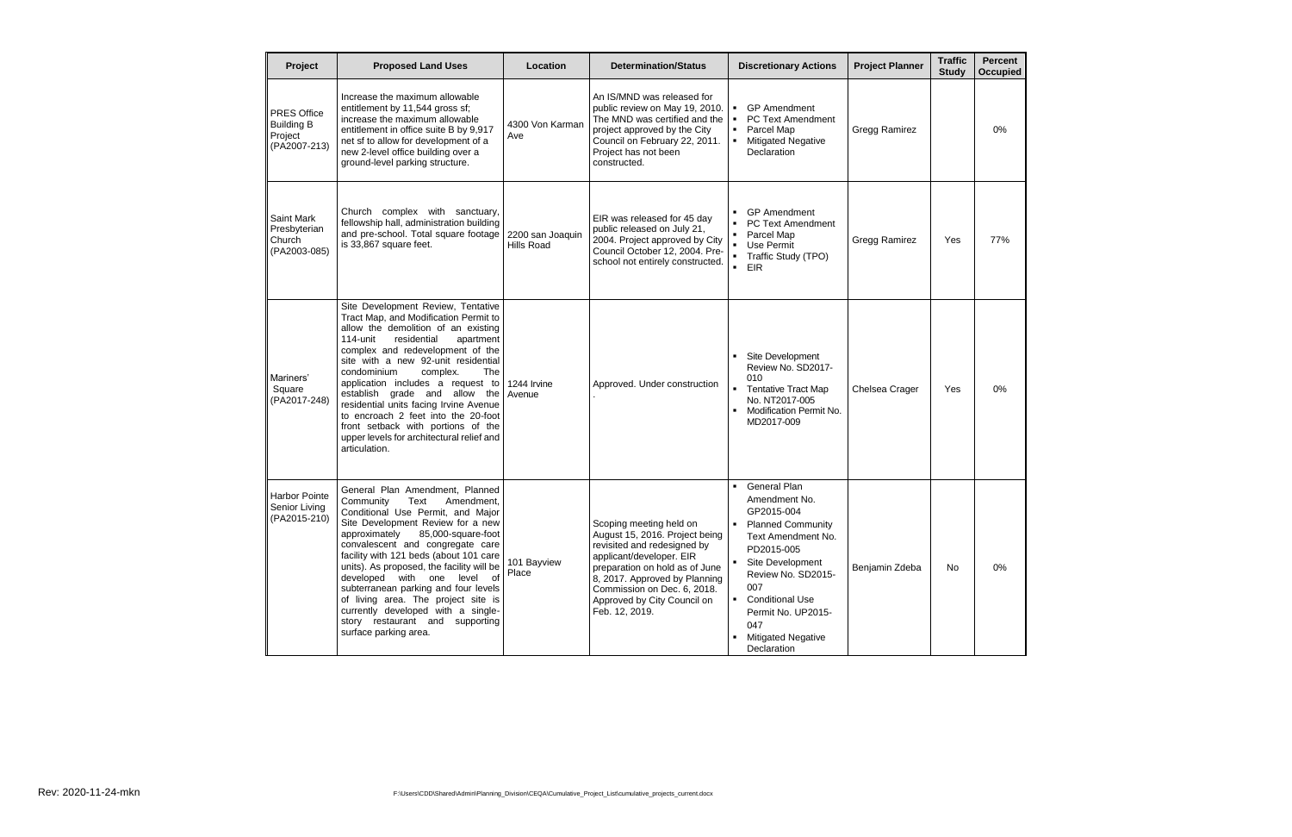| <b>Project</b>                                              | <b>Proposed Land Uses</b>                                                                                                                                                                                                                                                                                                                                                                                                                                                                                                          | Location                              | <b>Determination/Status</b>                                                                                                                                                                                                                                             | <b>Discretionary Actions</b>                                                                                                                                                                                                                                                                   | <b>Project Planner</b> | <b>Traffic</b><br><b>Study</b> | Percent<br><b>Occupied</b> |
|-------------------------------------------------------------|------------------------------------------------------------------------------------------------------------------------------------------------------------------------------------------------------------------------------------------------------------------------------------------------------------------------------------------------------------------------------------------------------------------------------------------------------------------------------------------------------------------------------------|---------------------------------------|-------------------------------------------------------------------------------------------------------------------------------------------------------------------------------------------------------------------------------------------------------------------------|------------------------------------------------------------------------------------------------------------------------------------------------------------------------------------------------------------------------------------------------------------------------------------------------|------------------------|--------------------------------|----------------------------|
| PRES Office<br><b>Building B</b><br>Project<br>(PA2007-213) | Increase the maximum allowable<br>entitlement by 11,544 gross sf;<br>increase the maximum allowable<br>entitlement in office suite B by 9,917<br>net sf to allow for development of a<br>new 2-level office building over a<br>ground-level parking structure.                                                                                                                                                                                                                                                                     | 4300 Von Karman<br>Ave                | An IS/MND was released for<br>public review on May 19, 2010.<br>The MND was certified and the<br>project approved by the City<br>Council on February 22, 2011.<br>Project has not been<br>constructed.                                                                  | <b>GP</b> Amendment<br>PC Text Amendment<br>$\blacksquare$<br>Parcel Map<br>$\mathbf{r}$<br><b>Mitigated Negative</b><br>Declaration                                                                                                                                                           | <b>Gregg Ramirez</b>   |                                | 0%                         |
| Saint Mark<br>Presbyterian<br>Church<br>(PA2003-085)        | Church complex with sanctuary,<br>fellowship hall, administration building<br>and pre-school. Total square footage<br>is 33,867 square feet.                                                                                                                                                                                                                                                                                                                                                                                       | 2200 san Joaquin<br><b>Hills Road</b> | EIR was released for 45 day<br>public released on July 21,<br>2004. Project approved by City<br>Council October 12, 2004. Pre-<br>school not entirely constructed.                                                                                                      | <b>GP</b> Amendment<br><b>PC Text Amendment</b><br>Parcel Map<br>Use Permit<br>Traffic Study (TPO)<br>$\blacksquare$<br><b>EIR</b>                                                                                                                                                             | <b>Gregg Ramirez</b>   | Yes                            | 77%                        |
| Mariners'<br>Square<br>(PA2017-248)                         | Site Development Review, Tentative<br>Tract Map, and Modification Permit to<br>allow the demolition of an existing<br>114-unit<br>residential<br>apartment<br>complex and redevelopment of the<br>site with a new 92-unit residential<br>condominium<br>complex.<br>The<br>application includes a request to<br>establish grade and allow the<br>residential units facing Irvine Avenue<br>to encroach 2 feet into the 20-foot<br>front setback with portions of the<br>upper levels for architectural relief and<br>articulation. | 1244 Irvine<br>Avenue                 | Approved. Under construction                                                                                                                                                                                                                                            | Site Development<br>Review No. SD2017-<br>010<br><b>Tentative Tract Map</b><br>$\blacksquare$<br>No. NT2017-005<br>Modification Permit No.<br>MD2017-009                                                                                                                                       | Chelsea Crager         | Yes                            | 0%                         |
| <b>Harbor Pointe</b><br>Senior Living<br>(PA2015-210)       | General Plan Amendment, Planned<br>Community<br>Text<br>Amendment,<br>Conditional Use Permit, and Major<br>Site Development Review for a new<br>85,000-square-foot<br>approximately<br>convalescent and congregate care<br>facility with 121 beds (about 101 care<br>units). As proposed, the facility will be<br>developed with one level of<br>subterranean parking and four levels<br>of living area. The project site is<br>currently developed with a single-<br>story restaurant and supporting<br>surface parking area.     | 101 Bayview<br>Place                  | Scoping meeting held on<br>August 15, 2016. Project being<br>revisited and redesigned by<br>applicant/developer. EIR<br>preparation on hold as of June<br>8, 2017. Approved by Planning<br>Commission on Dec. 6, 2018.<br>Approved by City Council on<br>Feb. 12, 2019. | <b>General Plan</b><br>Amendment No.<br>GP2015-004<br><b>Planned Community</b><br>Text Amendment No.<br>PD2015-005<br>Site Development<br>٠.<br>Review No. SD2015-<br>007<br><b>Conditional Use</b><br>$\blacksquare$<br>Permit No. UP2015-<br>047<br><b>Mitigated Negative</b><br>Declaration | Benjamin Zdeba         | No                             | 0%                         |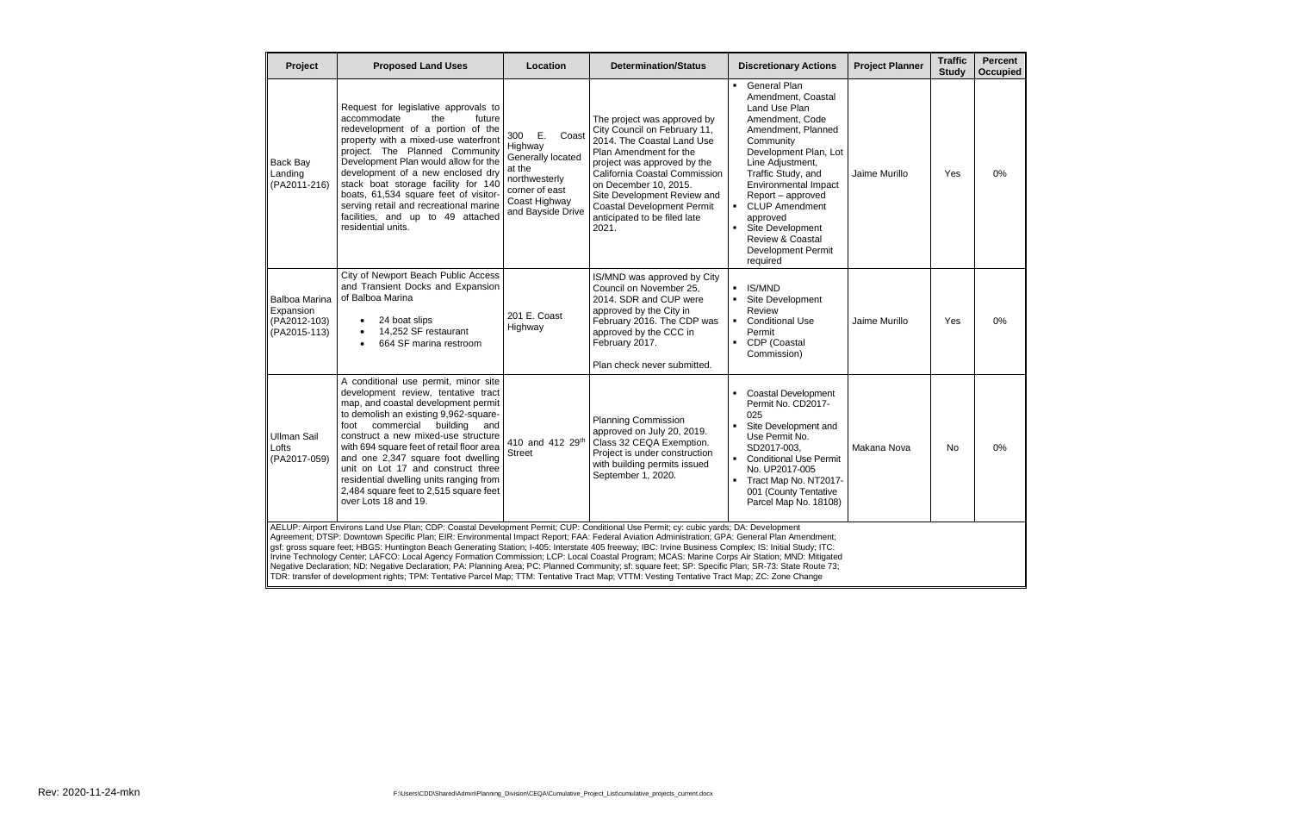| Project                                                           | <b>Proposed Land Uses</b>                                                                                                                                                                                                                                                                                                                                                                                                                                                                                                                                                                                                                                                                                                                                                                                                                                                                                   | Location                                                                                                                              | <b>Determination/Status</b>                                                                                                                                                                                                                                                                                               | <b>Discretionary Actions</b>                                                                                                                                                                                                                                                                                                                                                                     | <b>Project Planner</b> | <b>Traffic</b><br><b>Study</b> | <b>Percent</b><br><b>Occupied</b> |
|-------------------------------------------------------------------|-------------------------------------------------------------------------------------------------------------------------------------------------------------------------------------------------------------------------------------------------------------------------------------------------------------------------------------------------------------------------------------------------------------------------------------------------------------------------------------------------------------------------------------------------------------------------------------------------------------------------------------------------------------------------------------------------------------------------------------------------------------------------------------------------------------------------------------------------------------------------------------------------------------|---------------------------------------------------------------------------------------------------------------------------------------|---------------------------------------------------------------------------------------------------------------------------------------------------------------------------------------------------------------------------------------------------------------------------------------------------------------------------|--------------------------------------------------------------------------------------------------------------------------------------------------------------------------------------------------------------------------------------------------------------------------------------------------------------------------------------------------------------------------------------------------|------------------------|--------------------------------|-----------------------------------|
| Back Bay<br>Landing<br>(PA2011-216)                               | Request for legislative approvals to<br>accommodate<br>the<br>future<br>redevelopment of a portion of the<br>property with a mixed-use waterfront<br>project. The Planned Community<br>Development Plan would allow for the<br>development of a new enclosed dry<br>stack boat storage facility for 140<br>boats, 61,534 square feet of visitor-<br>serving retail and recreational marine<br>facilities, and up to 49 attached<br>residential units.                                                                                                                                                                                                                                                                                                                                                                                                                                                       | Ε.<br>300<br>Coast<br>Highway<br>Generally located<br>at the<br>northwesterly<br>corner of east<br>Coast Highway<br>and Bayside Drive | The project was approved by<br>City Council on February 11,<br>2014. The Coastal Land Use<br>Plan Amendment for the<br>project was approved by the<br>California Coastal Commission<br>on December 10, 2015.<br>Site Development Review and<br><b>Coastal Development Permit</b><br>anticipated to be filed late<br>2021. | <b>General Plan</b><br>$\blacksquare$<br>Amendment, Coastal<br>Land Use Plan<br>Amendment, Code<br>Amendment, Planned<br>Community<br>Development Plan, Lot<br>Line Adjustment,<br>Traffic Study, and<br>Environmental Impact<br>Report - approved<br>• CLUP Amendment<br>approved<br>Site Development<br>$\blacksquare$<br><b>Review &amp; Coastal</b><br><b>Development Permit</b><br>required | Jaime Murillo          | Yes                            | 0%                                |
| <b>Balboa Marina</b><br>Expansion<br>(PA2012-103)<br>(PA2015-113) | City of Newport Beach Public Access<br>and Transient Docks and Expansion<br>of Balboa Marina<br>24 boat slips<br>$\bullet$<br>14,252 SF restaurant<br>$\bullet$<br>664 SF marina restroom<br>$\bullet$                                                                                                                                                                                                                                                                                                                                                                                                                                                                                                                                                                                                                                                                                                      | 201 E. Coast<br>Highway                                                                                                               | IS/MND was approved by City<br>Council on November 25,<br>2014. SDR and CUP were<br>approved by the City in<br>February 2016. The CDP was<br>approved by the CCC in<br>February 2017.<br>Plan check never submitted.                                                                                                      | <b>IS/MND</b><br>٠.<br>Site Development<br>$\blacksquare$<br>Review<br>• Conditional Use<br>Permit<br>CDP (Coastal<br>$\blacksquare$ .<br>Commission)                                                                                                                                                                                                                                            | Jaime Murillo          | Yes                            | 0%                                |
| Ullman Sail<br>Lofts<br>(PA2017-059)                              | A conditional use permit, minor site<br>development review, tentative tract<br>map, and coastal development permit<br>to demolish an existing 9,962-square-<br>foot commercial<br>building<br>and<br>construct a new mixed-use structure<br>with 694 square feet of retail floor area<br>and one 2,347 square foot dwelling<br>unit on Lot 17 and construct three<br>residential dwelling units ranging from<br>2,484 square feet to 2,515 square feet<br>over Lots 18 and 19.                                                                                                                                                                                                                                                                                                                                                                                                                              | 410 and 412 29th<br><b>Street</b>                                                                                                     | <b>Planning Commission</b><br>approved on July 20, 2019.<br>Class 32 CEQA Exemption.<br>Project is under construction<br>with building permits issued<br>September 1, 2020.                                                                                                                                               | <b>Coastal Development</b><br>Permit No. CD2017-<br>025<br>Site Development and<br>٠.<br>Use Permit No.<br>SD2017-003.<br><b>Conditional Use Permit</b><br>$\blacksquare$<br>No. UP2017-005<br>- Tract Map No. NT2017-<br>001 (County Tentative<br>Parcel Map No. 18108)                                                                                                                         | Makana Nova            | No.                            | 0%                                |
|                                                                   | AELUP: Airport Environs Land Use Plan; CDP: Coastal Development Permit; CUP: Conditional Use Permit; cy: cubic yards; DA: Development<br>Agreement; DTSP: Downtown Specific Plan; EIR: Environmental Impact Report; FAA: Federal Aviation Administration; GPA: General Plan Amendment;<br>gsf: gross square feet; HBGS: Huntington Beach Generating Station; I-405: Interstate 405 freeway; IBC: Irvine Business Complex; IS: Initial Study; ITC:<br>Irvine Technology Center; LAFCO: Local Agency Formation Commission; LCP: Local Coastal Program; MCAS: Marine Corps Air Station; MND: Mitigated<br>Negative Declaration; ND: Negative Declaration; PA: Planning Area; PC: Planned Community; sf: square feet; SP: Specific Plan; SR-73: State Route 73;<br>TDR: transfer of development rights; TPM: Tentative Parcel Map; TTM: Tentative Tract Map; VTTM: Vesting Tentative Tract Map; ZC: Zone Change |                                                                                                                                       |                                                                                                                                                                                                                                                                                                                           |                                                                                                                                                                                                                                                                                                                                                                                                  |                        |                                |                                   |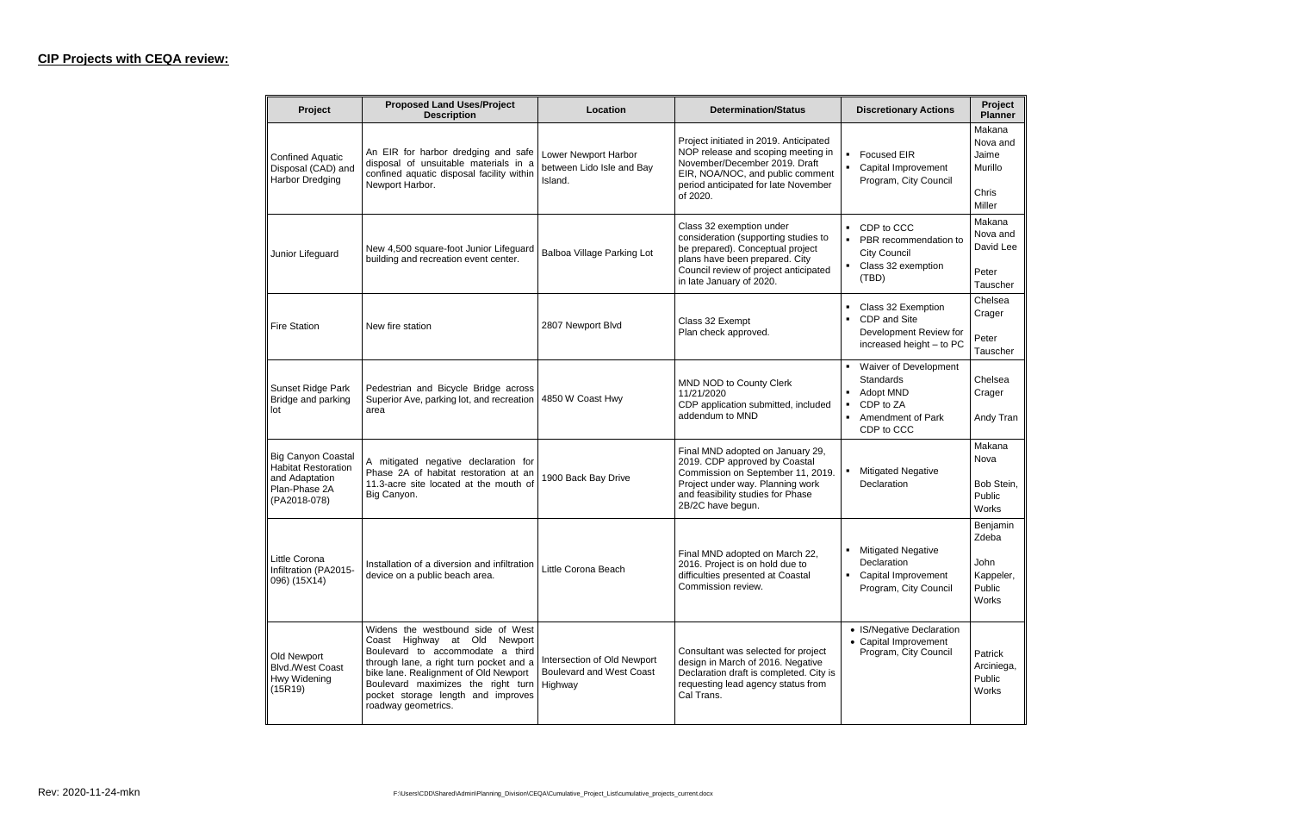## **CIP Projects with CEQA review:**

| Project                                                                                                    | <b>Proposed Land Uses/Project</b><br><b>Description</b>                                                                                                                                                                                                                                                | Location                                                     | <b>Determination/Status</b>                                                                                                                                                                                 | <b>Discretionary Actions</b>                                                                               | Project<br><b>Planner</b>                                 |
|------------------------------------------------------------------------------------------------------------|--------------------------------------------------------------------------------------------------------------------------------------------------------------------------------------------------------------------------------------------------------------------------------------------------------|--------------------------------------------------------------|-------------------------------------------------------------------------------------------------------------------------------------------------------------------------------------------------------------|------------------------------------------------------------------------------------------------------------|-----------------------------------------------------------|
| <b>Confined Aquatic</b><br>Disposal (CAD) and<br><b>Harbor Dredging</b>                                    | An EIR for harbor dredging and safe<br>disposal of unsuitable materials in a<br>confined aquatic disposal facility within<br>Newport Harbor.                                                                                                                                                           | Lower Newport Harbor<br>between Lido Isle and Bay<br>Island. | Project initiated in 2019. Anticipated<br>NOP release and scoping meeting in<br>November/December 2019. Draft<br>EIR, NOA/NOC, and public comment<br>period anticipated for late November<br>of 2020.       | <b>Focused EIR</b><br>Capital Improvement<br>Program, City Council                                         | Makana<br>Nova and<br>Jaime<br>Murillo<br>Chris<br>Miller |
| Junior Lifeguard                                                                                           | New 4,500 square-foot Junior Lifeguard<br>building and recreation event center.                                                                                                                                                                                                                        | Balboa Village Parking Lot                                   | Class 32 exemption under<br>consideration (supporting studies to<br>be prepared). Conceptual project<br>plans have been prepared. City<br>Council review of project anticipated<br>in late January of 2020. | CDP to CCC<br>PBR recommendation to<br><b>City Council</b><br>Class 32 exemption<br>(TBD)                  | Makana<br>Nova and<br>David Lee<br>Peter<br>Tauscher      |
| <b>Fire Station</b>                                                                                        | New fire station                                                                                                                                                                                                                                                                                       | 2807 Newport Blvd                                            | Class 32 Exempt<br>Plan check approved.                                                                                                                                                                     | Class 32 Exemption<br>CDP and Site<br>$\blacksquare$<br>Development Review for<br>increased height - to PC | Chelsea<br>Crager<br>Peter<br>Tauscher                    |
| Sunset Ridge Park<br>Bridge and parking<br>lot                                                             | Pedestrian and Bicycle Bridge across<br>Superior Ave, parking lot, and recreation<br>area                                                                                                                                                                                                              | 4850 W Coast Hwy                                             | MND NOD to County Clerk<br>11/21/2020<br>CDP application submitted, included<br>addendum to MND                                                                                                             | Waiver of Development<br><b>Standards</b><br>Adopt MND<br>CDP to ZA<br>Amendment of Park<br>CDP to CCC     | Chelsea<br>Crager<br>Andy Tran                            |
| <b>Big Canyon Coastal</b><br><b>Habitat Restoration</b><br>and Adaptation<br>Plan-Phase 2A<br>(PA2018-078) | A mitigated negative declaration for<br>Phase 2A of habitat restoration at an<br>11.3-acre site located at the mouth of<br>Big Canyon.                                                                                                                                                                 | 1900 Back Bay Drive                                          | Final MND adopted on January 29,<br>2019. CDP approved by Coastal<br>Commission on September 11, 2019.<br>Project under way. Planning work<br>and feasibility studies for Phase<br>2B/2C have begun.        | <b>Mitigated Negative</b><br>Declaration                                                                   | Makana<br>Nova<br>Bob Stein,<br>Public<br>Works           |
| Little Corona<br>Infiltration (PA2015-<br>096) (15X14)                                                     | Installation of a diversion and infiltration   Little Corona Beach<br>device on a public beach area.                                                                                                                                                                                                   |                                                              | Final MND adopted on March 22,<br>2016. Project is on hold due to<br>difficulties presented at Coastal<br>Commission review.                                                                                | <b>Mitigated Negative</b><br>Declaration<br>• Capital Improvement<br>Program, City Council                 | Benjamin<br>Zdeba<br>John<br>Kappeler,<br>Public<br>Works |
| Old Newport<br><b>Blvd./West Coast</b><br>Hwy Widening<br>(15R19)                                          | Widens the westbound side of West<br>Coast Highway at Old Newport<br>Boulevard to accommodate a third<br>through lane, a right turn pocket and a<br>bike lane. Realignment of Old Newport<br>Boulevard maximizes the right turn   Highway<br>pocket storage length and improves<br>roadway geometrics. | Intersection of Old Newport<br>Boulevard and West Coast      | Consultant was selected for project<br>design in March of 2016. Negative<br>Declaration draft is completed. City is<br>requesting lead agency status from<br>Cal Trans.                                     | • IS/Negative Declaration<br>• Capital Improvement<br>Program, City Council                                | Patrick<br>Arciniega,<br>Public<br><b>Works</b>           |